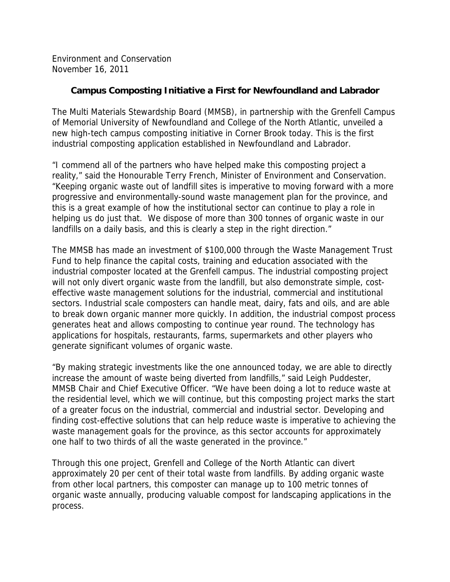Environment and Conservation November 16, 2011

## **Campus Composting Initiative a First for Newfoundland and Labrador**

The Multi Materials Stewardship Board (MMSB), in partnership with the Grenfell Campus of Memorial University of Newfoundland and College of the North Atlantic, unveiled a new high-tech campus composting initiative in Corner Brook today. This is the first industrial composting application established in Newfoundland and Labrador.

"I commend all of the partners who have helped make this composting project a reality," said the Honourable Terry French, Minister of Environment and Conservation. "Keeping organic waste out of landfill sites is imperative to moving forward with a more progressive and environmentally-sound waste management plan for the province, and this is a great example of how the institutional sector can continue to play a role in helping us do just that. We dispose of more than 300 tonnes of organic waste in our landfills on a daily basis, and this is clearly a step in the right direction."

The MMSB has made an investment of \$100,000 through the Waste Management Trust Fund to help finance the capital costs, training and education associated with the industrial composter located at the Grenfell campus. The industrial composting project will not only divert organic waste from the landfill, but also demonstrate simple, costeffective waste management solutions for the industrial, commercial and institutional sectors. Industrial scale composters can handle meat, dairy, fats and oils, and are able to break down organic manner more quickly. In addition, the industrial compost process generates heat and allows composting to continue year round. The technology has applications for hospitals, restaurants, farms, supermarkets and other players who generate significant volumes of organic waste.

"By making strategic investments like the one announced today, we are able to directly increase the amount of waste being diverted from landfills," said Leigh Puddester, MMSB Chair and Chief Executive Officer. "We have been doing a lot to reduce waste at the residential level, which we will continue, but this composting project marks the start of a greater focus on the industrial, commercial and industrial sector. Developing and finding cost-effective solutions that can help reduce waste is imperative to achieving the waste management goals for the province, as this sector accounts for approximately one half to two thirds of all the waste generated in the province."

Through this one project, Grenfell and College of the North Atlantic can divert approximately 20 per cent of their total waste from landfills. By adding organic waste from other local partners, this composter can manage up to 100 metric tonnes of organic waste annually, producing valuable compost for landscaping applications in the process.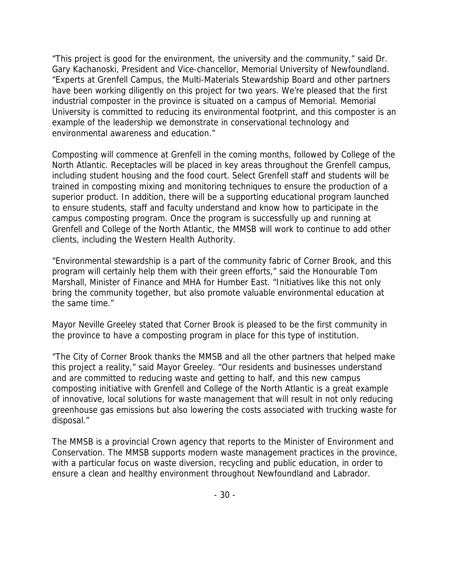"This project is good for the environment, the university and the community," said Dr. Gary Kachanoski, President and Vice-chancellor, Memorial University of Newfoundland. "Experts at Grenfell Campus, the Multi-Materials Stewardship Board and other partners have been working diligently on this project for two years. We're pleased that the first industrial composter in the province is situated on a campus of Memorial. Memorial University is committed to reducing its environmental footprint, and this composter is an example of the leadership we demonstrate in conservational technology and environmental awareness and education."

Composting will commence at Grenfell in the coming months, followed by College of the North Atlantic. Receptacles will be placed in key areas throughout the Grenfell campus, including student housing and the food court. Select Grenfell staff and students will be trained in composting mixing and monitoring techniques to ensure the production of a superior product. In addition, there will be a supporting educational program launched to ensure students, staff and faculty understand and know how to participate in the campus composting program. Once the program is successfully up and running at Grenfell and College of the North Atlantic, the MMSB will work to continue to add other clients, including the Western Health Authority.

"Environmental stewardship is a part of the community fabric of Corner Brook, and this program will certainly help them with their green efforts," said the Honourable Tom Marshall, Minister of Finance and MHA for Humber East. "Initiatives like this not only bring the community together, but also promote valuable environmental education at the same time."

Mayor Neville Greeley stated that Corner Brook is pleased to be the first community in the province to have a composting program in place for this type of institution.

"The City of Corner Brook thanks the MMSB and all the other partners that helped make this project a reality," said Mayor Greeley. "Our residents and businesses understand and are committed to reducing waste and getting to half, and this new campus composting initiative with Grenfell and College of the North Atlantic is a great example of innovative, local solutions for waste management that will result in not only reducing greenhouse gas emissions but also lowering the costs associated with trucking waste for disposal."

The MMSB is a provincial Crown agency that reports to the Minister of Environment and Conservation. The MMSB supports modern waste management practices in the province, with a particular focus on waste diversion, recycling and public education, in order to ensure a clean and healthy environment throughout Newfoundland and Labrador.